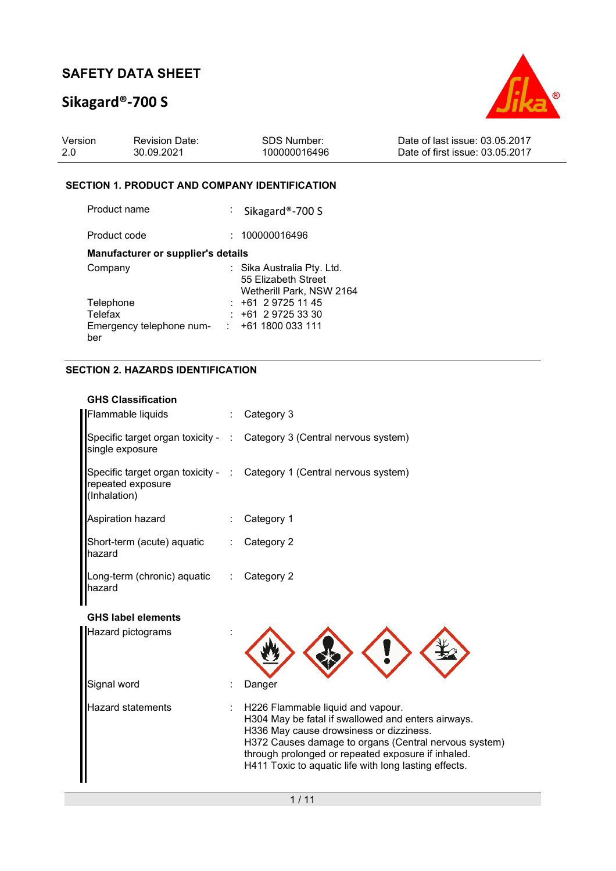# **Sikagard®-700 S**



| Version | <b>Revision Date:</b> | SDS Number:  | Date of last issue: 03.05.2017  |
|---------|-----------------------|--------------|---------------------------------|
| -2.0    | 30.09.2021            | 100000016496 | Date of first issue: 03.05.2017 |

### **SECTION 1. PRODUCT AND COMPANY IDENTIFICATION**

| Product name                              | : Sikagard®-700 S                                                             |
|-------------------------------------------|-------------------------------------------------------------------------------|
| Product code                              | : 100000016496                                                                |
| <b>Manufacturer or supplier's details</b> |                                                                               |
| Company                                   | : Sika Australia Pty. Ltd.<br>55 Elizabeth Street<br>Wetherill Park, NSW 2164 |
| Telephone                                 | $: +61297251145$                                                              |
| Telefax                                   | $: +61297253330$                                                              |
| Emergency telephone num-<br>ber           | +61 1800 033 111                                                              |

## **SECTION 2. HAZARDS IDENTIFICATION**

## **GHS Classification**

| Flammable liquids                                   | $\therefore$ Category 3                                                |
|-----------------------------------------------------|------------------------------------------------------------------------|
| single exposure                                     | Specific target organ toxicity - : Category 3 (Central nervous system) |
| repeated exposure<br>(Inhalation)                   | Specific target organ toxicity - : Category 1 (Central nervous system) |
| Aspiration hazard                                   | Category 1                                                             |
| Short-term (acute) aquatic : Category 2<br>hazard   |                                                                        |
| Long-term (chronic) aquatic : Category 2<br>lhazard |                                                                        |

### **GHS label elements**

| <b>Hazard pictograms</b> |  |                                                                                                                                                                                                                                                                                                            |
|--------------------------|--|------------------------------------------------------------------------------------------------------------------------------------------------------------------------------------------------------------------------------------------------------------------------------------------------------------|
| Signal word              |  | Danger                                                                                                                                                                                                                                                                                                     |
| <b>Hazard statements</b> |  | H226 Flammable liquid and vapour.<br>H304 May be fatal if swallowed and enters airways.<br>H336 May cause drowsiness or dizziness.<br>H372 Causes damage to organs (Central nervous system)<br>through prolonged or repeated exposure if inhaled.<br>H411 Toxic to aquatic life with long lasting effects. |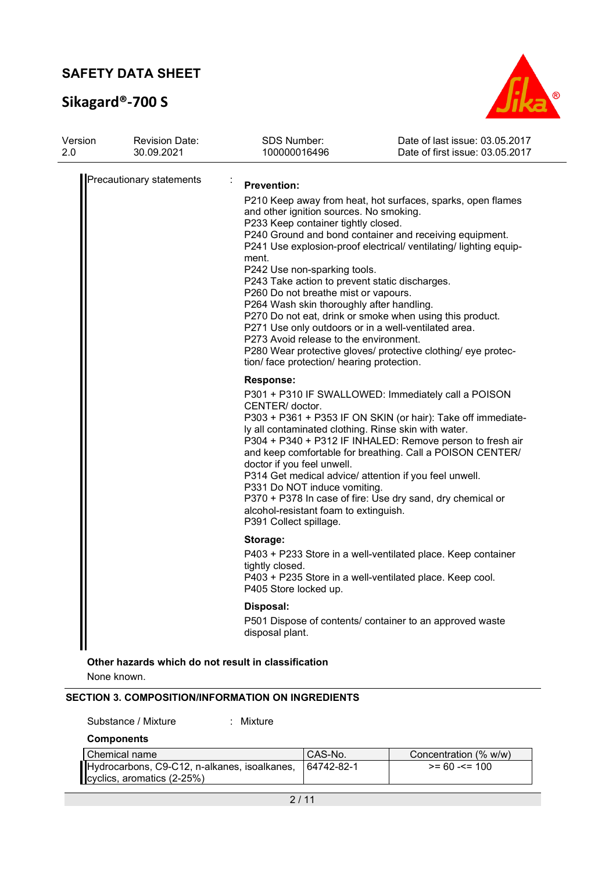# **Sikagard®-700 S**



| Version<br>2.0 | <b>Revision Date:</b><br>30.09.2021 | <b>SDS Number:</b><br>100000016496                                                                                                                                                                                                                                                                                                                                                                                                   | Date of last issue: 03.05.2017<br>Date of first issue: 03.05.2017                                                                                                                                                                                                                                                        |
|----------------|-------------------------------------|--------------------------------------------------------------------------------------------------------------------------------------------------------------------------------------------------------------------------------------------------------------------------------------------------------------------------------------------------------------------------------------------------------------------------------------|--------------------------------------------------------------------------------------------------------------------------------------------------------------------------------------------------------------------------------------------------------------------------------------------------------------------------|
|                | Precautionary statements            | <b>Prevention:</b><br>and other ignition sources. No smoking.<br>P233 Keep container tightly closed.<br>ment.<br>P242 Use non-sparking tools.<br>P243 Take action to prevent static discharges.<br>P260 Do not breathe mist or vapours.<br>P264 Wash skin thoroughly after handling.<br>P271 Use only outdoors or in a well-ventilated area.<br>P273 Avoid release to the environment.<br>tion/ face protection/ hearing protection. | P210 Keep away from heat, hot surfaces, sparks, open flames<br>P240 Ground and bond container and receiving equipment.<br>P241 Use explosion-proof electrical/ ventilating/ lighting equip-<br>P270 Do not eat, drink or smoke when using this product.<br>P280 Wear protective gloves/ protective clothing/ eye protec- |
|                |                                     | Response:<br>CENTER/ doctor.<br>ly all contaminated clothing. Rinse skin with water.<br>doctor if you feel unwell.<br>P314 Get medical advice/ attention if you feel unwell.<br>P331 Do NOT induce vomiting.<br>alcohol-resistant foam to extinguish.<br>P391 Collect spillage.                                                                                                                                                      | P301 + P310 IF SWALLOWED: Immediately call a POISON<br>P303 + P361 + P353 IF ON SKIN (or hair): Take off immediate-<br>P304 + P340 + P312 IF INHALED: Remove person to fresh air<br>and keep comfortable for breathing. Call a POISON CENTER/<br>P370 + P378 In case of fire: Use dry sand, dry chemical or              |
|                |                                     | Storage:<br>tightly closed.<br>P405 Store locked up.<br>Disposal:<br>disposal plant.                                                                                                                                                                                                                                                                                                                                                 | P403 + P233 Store in a well-ventilated place. Keep container<br>P403 + P235 Store in a well-ventilated place. Keep cool.<br>P501 Dispose of contents/ container to an approved waste                                                                                                                                     |
|                |                                     |                                                                                                                                                                                                                                                                                                                                                                                                                                      |                                                                                                                                                                                                                                                                                                                          |

**Other hazards which do not result in classification**

None known.

### **SECTION 3. COMPOSITION/INFORMATION ON INGREDIENTS**

| Substance / Mixture |  | Mixture |
|---------------------|--|---------|
|---------------------|--|---------|

**Components** 

| l Chemical name                                         | CAS-No. | Concentration (% w/w) |
|---------------------------------------------------------|---------|-----------------------|
| Hydrocarbons, C9-C12, n-alkanes, isoalkanes, 64742-82-1 |         | $>= 60 - 5 = 100$     |
| $\blacksquare$ cyclics, aromatics (2-25%)               |         |                       |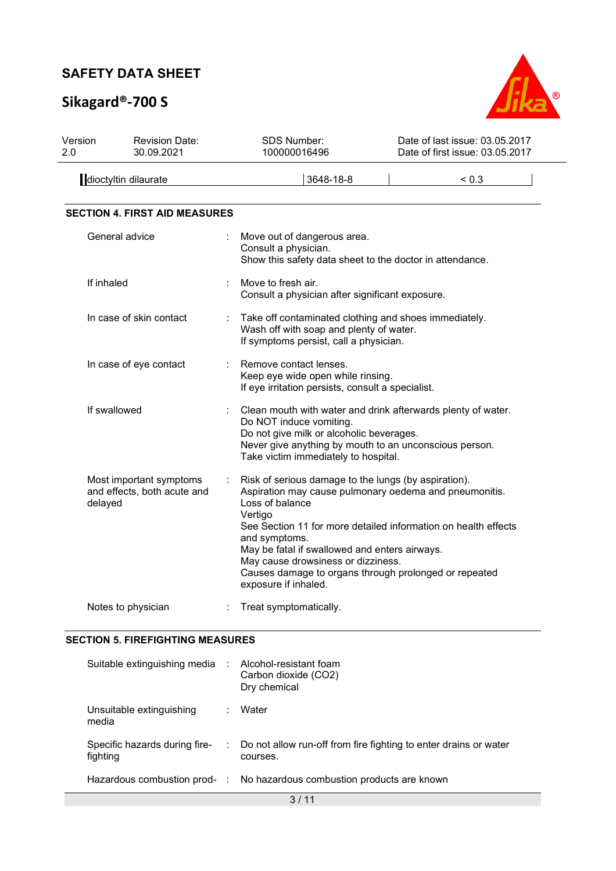# **Sikagard®-700 S**



| Version<br>2.0 | <b>Revision Date:</b><br>30.09.2021                               | <b>SDS Number:</b><br>100000016496                                                                                                                                                                                                                                                                                                                                                                      | Date of last issue: 03.05.2017<br>Date of first issue: 03.05.2017 |
|----------------|-------------------------------------------------------------------|---------------------------------------------------------------------------------------------------------------------------------------------------------------------------------------------------------------------------------------------------------------------------------------------------------------------------------------------------------------------------------------------------------|-------------------------------------------------------------------|
|                | dioctyltin dilaurate                                              | 3648-18-8                                                                                                                                                                                                                                                                                                                                                                                               | < 0.3                                                             |
|                | <b>SECTION 4. FIRST AID MEASURES</b>                              |                                                                                                                                                                                                                                                                                                                                                                                                         |                                                                   |
|                | General advice                                                    | Move out of dangerous area.<br>Consult a physician.<br>Show this safety data sheet to the doctor in attendance.                                                                                                                                                                                                                                                                                         |                                                                   |
|                | If inhaled                                                        | Move to fresh air.<br>Consult a physician after significant exposure.                                                                                                                                                                                                                                                                                                                                   |                                                                   |
|                | In case of skin contact                                           | Take off contaminated clothing and shoes immediately.<br>Wash off with soap and plenty of water.<br>If symptoms persist, call a physician.                                                                                                                                                                                                                                                              |                                                                   |
|                | In case of eye contact                                            | Remove contact lenses.<br>Keep eye wide open while rinsing.<br>If eye irritation persists, consult a specialist.                                                                                                                                                                                                                                                                                        |                                                                   |
|                | If swallowed                                                      | Clean mouth with water and drink afterwards plenty of water.<br>Do NOT induce vomiting.<br>Do not give milk or alcoholic beverages.<br>Never give anything by mouth to an unconscious person.<br>Take victim immediately to hospital.                                                                                                                                                                   |                                                                   |
|                | Most important symptoms<br>and effects, both acute and<br>delayed | Risk of serious damage to the lungs (by aspiration).<br>Aspiration may cause pulmonary oedema and pneumonitis.<br>Loss of balance<br>Vertigo<br>See Section 11 for more detailed information on health effects<br>and symptoms.<br>May be fatal if swallowed and enters airways.<br>May cause drowsiness or dizziness.<br>Causes damage to organs through prolonged or repeated<br>exposure if inhaled. |                                                                   |
|                | Notes to physician                                                | Treat symptomatically.                                                                                                                                                                                                                                                                                                                                                                                  |                                                                   |

## **SECTION 5. FIREFIGHTING MEASURES**

| Suitable extinguishing media :            |                           | Alcohol-resistant foam<br>Carbon dioxide (CO2)<br>Dry chemical               |
|-------------------------------------------|---------------------------|------------------------------------------------------------------------------|
| Unsuitable extinguishing<br>media         | ÷.                        | Water                                                                        |
| Specific hazards during fire-<br>fighting | $\mathbb{Z}^{\mathbb{Z}}$ | Do not allow run-off from fire fighting to enter drains or water<br>courses. |
|                                           |                           | Hazardous combustion prod- : No hazardous combustion products are known      |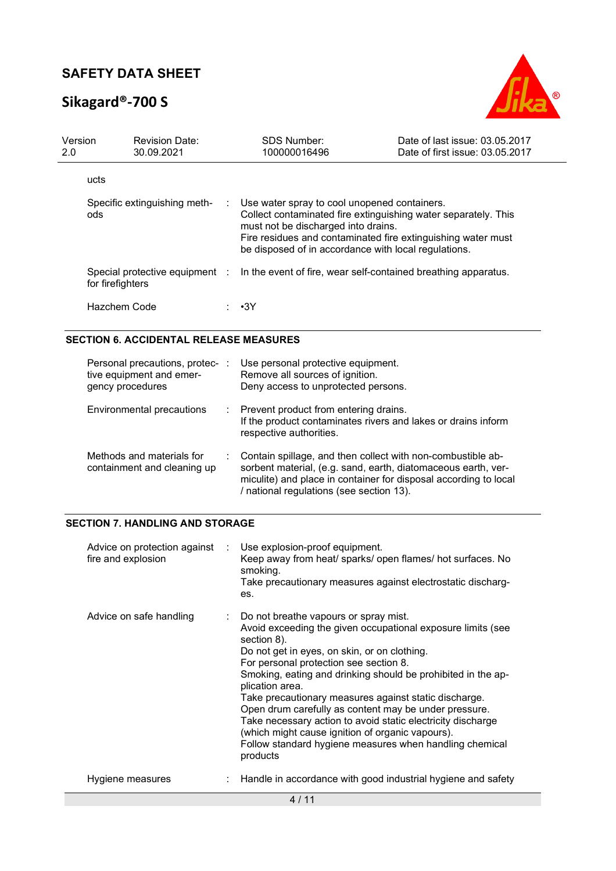# **Sikagard®-700 S**



| Version<br>2.0 |                  | <b>Revision Date:</b><br>30.09.2021 | <b>SDS Number:</b><br>100000016496                                                                                                                                                                                                                                              | Date of last issue: 03.05.2017<br>Date of first issue: 03.05.2017 |
|----------------|------------------|-------------------------------------|---------------------------------------------------------------------------------------------------------------------------------------------------------------------------------------------------------------------------------------------------------------------------------|-------------------------------------------------------------------|
|                | ucts             |                                     |                                                                                                                                                                                                                                                                                 |                                                                   |
|                | ods              | Specific extinguishing meth-        | : Use water spray to cool unopened containers.<br>Collect contaminated fire extinguishing water separately. This<br>must not be discharged into drains.<br>Fire residues and contaminated fire extinguishing water must<br>be disposed of in accordance with local regulations. |                                                                   |
|                | for firefighters | Special protective equipment :      | In the event of fire, wear self-contained breathing apparatus.                                                                                                                                                                                                                  |                                                                   |
|                | Hazchem Code     |                                     | •3Y                                                                                                                                                                                                                                                                             |                                                                   |

### **SECTION 6. ACCIDENTAL RELEASE MEASURES**

| Personal precautions, protec-<br>tive equipment and emer-<br>gency procedures | ÷. | Use personal protective equipment.<br>Remove all sources of ignition.<br>Deny access to unprotected persons.                                                                                                                                 |
|-------------------------------------------------------------------------------|----|----------------------------------------------------------------------------------------------------------------------------------------------------------------------------------------------------------------------------------------------|
| Environmental precautions                                                     |    | : Prevent product from entering drains.<br>If the product contaminates rivers and lakes or drains inform<br>respective authorities.                                                                                                          |
| Methods and materials for<br>containment and cleaning up                      |    | Contain spillage, and then collect with non-combustible ab-<br>sorbent material, (e.g. sand, earth, diatomaceous earth, ver-<br>miculite) and place in container for disposal according to local<br>/ national regulations (see section 13). |

### **SECTION 7. HANDLING AND STORAGE**

| Advice on protection against :<br>fire and explosion | Use explosion-proof equipment.<br>Keep away from heat/ sparks/ open flames/ hot surfaces. No<br>smoking.<br>Take precautionary measures against electrostatic discharg-<br>es.                                                                                                                                                                                                                                                                                                                                                                                                                                 |
|------------------------------------------------------|----------------------------------------------------------------------------------------------------------------------------------------------------------------------------------------------------------------------------------------------------------------------------------------------------------------------------------------------------------------------------------------------------------------------------------------------------------------------------------------------------------------------------------------------------------------------------------------------------------------|
| Advice on safe handling                              | : Do not breathe vapours or spray mist.<br>Avoid exceeding the given occupational exposure limits (see<br>section 8).<br>Do not get in eyes, on skin, or on clothing.<br>For personal protection see section 8.<br>Smoking, eating and drinking should be prohibited in the ap-<br>plication area.<br>Take precautionary measures against static discharge.<br>Open drum carefully as content may be under pressure.<br>Take necessary action to avoid static electricity discharge<br>(which might cause ignition of organic vapours).<br>Follow standard hygiene measures when handling chemical<br>products |
| Hygiene measures                                     | Handle in accordance with good industrial hygiene and safety                                                                                                                                                                                                                                                                                                                                                                                                                                                                                                                                                   |
|                                                      | 4/11                                                                                                                                                                                                                                                                                                                                                                                                                                                                                                                                                                                                           |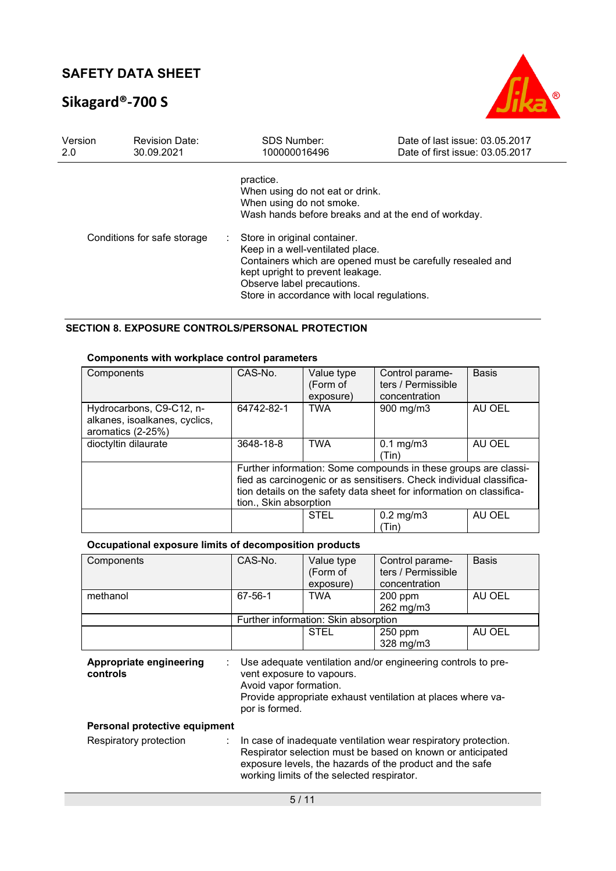# **Sikagard®-700 S**



| Version<br>2.0              | <b>Revision Date:</b><br>30.09.2021 | <b>SDS Number:</b><br>100000016496                                                                                                                                                                                                                | Date of last issue: 03.05.2017<br>Date of first issue: 03.05.2017 |
|-----------------------------|-------------------------------------|---------------------------------------------------------------------------------------------------------------------------------------------------------------------------------------------------------------------------------------------------|-------------------------------------------------------------------|
|                             |                                     | practice.<br>When using do not eat or drink.<br>When using do not smoke.<br>Wash hands before breaks and at the end of workday.                                                                                                                   |                                                                   |
| Conditions for safe storage |                                     | : Store in original container.<br>Keep in a well-ventilated place.<br>Containers which are opened must be carefully resealed and<br>kept upright to prevent leakage.<br>Observe label precautions.<br>Store in accordance with local regulations. |                                                                   |

## **SECTION 8. EXPOSURE CONTROLS/PERSONAL PROTECTION**

### **Components with workplace control parameters**

| Components                                                                     | CAS-No.                | Value type<br>(Form of<br>exposure) | Control parame-<br>ters / Permissible<br>concentration                                                                                                                                                          | <b>Basis</b> |
|--------------------------------------------------------------------------------|------------------------|-------------------------------------|-----------------------------------------------------------------------------------------------------------------------------------------------------------------------------------------------------------------|--------------|
| Hydrocarbons, C9-C12, n-<br>alkanes, isoalkanes, cyclics,<br>aromatics (2-25%) | 64742-82-1             | <b>TWA</b>                          | 900 mg/m3                                                                                                                                                                                                       | AU OEL       |
| dioctyltin dilaurate                                                           | 3648-18-8              | <b>TWA</b>                          | $0.1 \text{ mg/m}$ 3<br>(Tin)                                                                                                                                                                                   | AU OEL       |
|                                                                                | tion., Skin absorption |                                     | Further information: Some compounds in these groups are classi-<br>fied as carcinogenic or as sensitisers. Check individual classifica-<br>tion details on the safety data sheet for information on classifica- |              |
|                                                                                |                        | <b>STEL</b>                         | $0.2 \text{ mg/m}$ 3<br>(Tin)                                                                                                                                                                                   | AU OEL       |

## **Occupational exposure limits of decomposition products**

| Components                          | CAS-No.                                                                                                                                                                                                                                      | Value type<br>(Form of<br>exposure)                                                                                                                                                                  | Control parame-<br>ters / Permissible<br>concentration | Basis  |  |  |
|-------------------------------------|----------------------------------------------------------------------------------------------------------------------------------------------------------------------------------------------------------------------------------------------|------------------------------------------------------------------------------------------------------------------------------------------------------------------------------------------------------|--------------------------------------------------------|--------|--|--|
| methanol                            | 67-56-1                                                                                                                                                                                                                                      | <b>TWA</b>                                                                                                                                                                                           | 200 ppm<br>262 mg/m3                                   | AU OEL |  |  |
|                                     |                                                                                                                                                                                                                                              | Further information: Skin absorption                                                                                                                                                                 |                                                        |        |  |  |
|                                     |                                                                                                                                                                                                                                              | <b>STEL</b>                                                                                                                                                                                          | $250$ ppm<br>$328$ mg/m $3$                            | AU OEL |  |  |
| Appropriate engineering<br>controls | ÷.                                                                                                                                                                                                                                           | Use adequate ventilation and/or engineering controls to pre-<br>vent exposure to vapours.<br>Avoid vapor formation.<br>Provide appropriate exhaust ventilation at places where va-<br>por is formed. |                                                        |        |  |  |
| Personal protective equipment       |                                                                                                                                                                                                                                              |                                                                                                                                                                                                      |                                                        |        |  |  |
| Respiratory protection              | In case of inadequate ventilation wear respiratory protection.<br>÷.<br>Respirator selection must be based on known or anticipated<br>exposure levels, the hazards of the product and the safe<br>working limits of the selected respirator. |                                                                                                                                                                                                      |                                                        |        |  |  |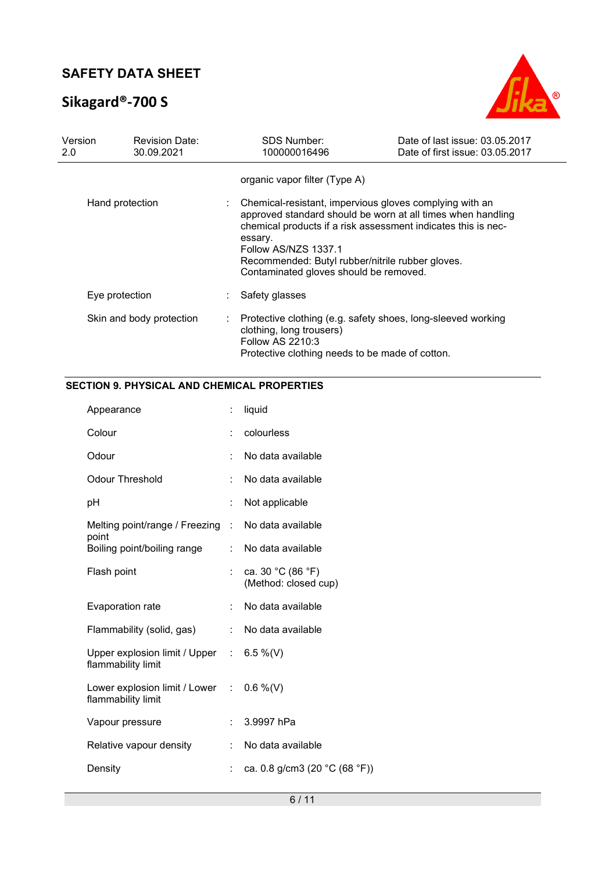# **Sikagard®-700 S**



| Version<br>2.0 | <b>Revision Date:</b><br>30.09.2021 |    | <b>SDS Number:</b><br>100000016496                                                                                                                                                       | Date of last issue: 03.05.2017<br>Date of first issue: 03.05.2017                                                            |
|----------------|-------------------------------------|----|------------------------------------------------------------------------------------------------------------------------------------------------------------------------------------------|------------------------------------------------------------------------------------------------------------------------------|
|                |                                     |    | organic vapor filter (Type A)                                                                                                                                                            |                                                                                                                              |
|                | Hand protection                     |    | Chemical-resistant, impervious gloves complying with an<br>essary.<br>Follow AS/NZS 1337.1<br>Recommended: Butyl rubber/nitrile rubber gloves.<br>Contaminated gloves should be removed. | approved standard should be worn at all times when handling<br>chemical products if a risk assessment indicates this is nec- |
|                | Eye protection                      |    | Safety glasses                                                                                                                                                                           |                                                                                                                              |
|                | Skin and body protection            | ÷. | clothing, long trousers)<br>Follow AS 2210:3<br>Protective clothing needs to be made of cotton.                                                                                          | Protective clothing (e.g. safety shoes, long-sleeved working                                                                 |

## **SECTION 9. PHYSICAL AND CHEMICAL PROPERTIES**

| Appearance                                                        |    | liquid                                    |
|-------------------------------------------------------------------|----|-------------------------------------------|
| Colour                                                            |    | colourless                                |
| Odour                                                             |    | No data available                         |
| <b>Odour Threshold</b>                                            |    | No data available                         |
| рH                                                                |    | Not applicable                            |
| Melting point/range / Freezing<br>point                           | ÷. | No data available                         |
| Boiling point/boiling range                                       |    | No data available                         |
| Flash point                                                       |    | ca. 30 °C (86 °F)<br>(Method: closed cup) |
| Evaporation rate                                                  |    | No data available                         |
| Flammability (solid, gas)                                         | t. | No data available                         |
| Upper explosion limit / Upper : $6.5\%$ (V)<br>flammability limit |    |                                           |
| Lower explosion limit / Lower :<br>flammability limit             |    | $0.6\%$ (V)                               |
| Vapour pressure                                                   |    | 3.9997 hPa                                |
| Relative vapour density                                           |    | No data available                         |
| Density                                                           | ÷  | ca. 0.8 g/cm3 (20 °C (68 °F))             |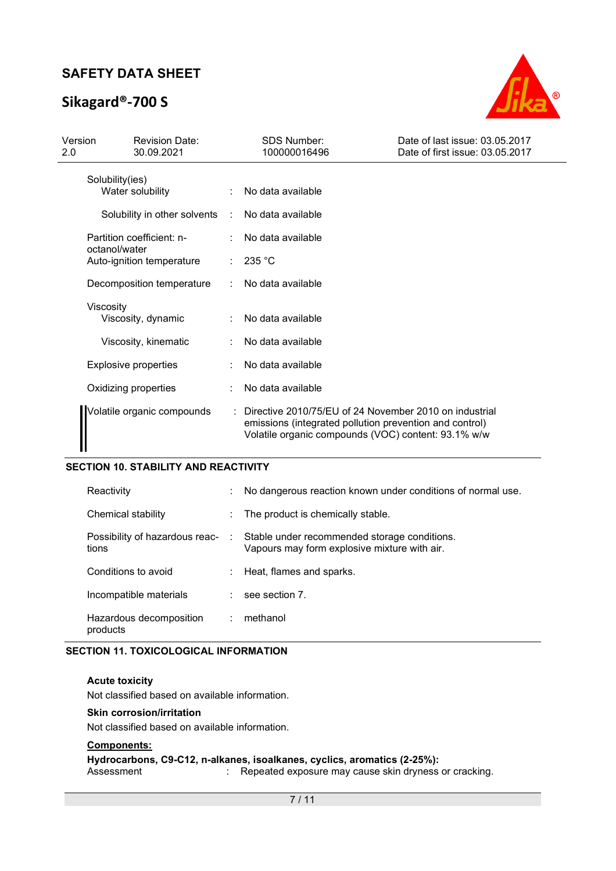# **Sikagard®-700 S**



| Version<br>2.0 |                 | <b>Revision Date:</b><br>30.09.2021 |                      | <b>SDS Number:</b><br>100000016496                                                                                                                                         | Date of last issue: 03.05.2017<br>Date of first issue: 03.05.2017 |
|----------------|-----------------|-------------------------------------|----------------------|----------------------------------------------------------------------------------------------------------------------------------------------------------------------------|-------------------------------------------------------------------|
|                | Solubility(ies) | Water solubility                    |                      | No data available                                                                                                                                                          |                                                                   |
|                |                 | Solubility in other solvents        | $\ddot{\phantom{a}}$ | No data available                                                                                                                                                          |                                                                   |
|                | octanol/water   | Partition coefficient: n-           |                      | No data available                                                                                                                                                          |                                                                   |
|                |                 | Auto-ignition temperature           |                      | 235 °C                                                                                                                                                                     |                                                                   |
|                |                 | Decomposition temperature           |                      | No data available                                                                                                                                                          |                                                                   |
|                | Viscosity       | Viscosity, dynamic                  |                      | No data available                                                                                                                                                          |                                                                   |
|                |                 | Viscosity, kinematic                |                      | No data available                                                                                                                                                          |                                                                   |
|                |                 | <b>Explosive properties</b>         |                      | No data available                                                                                                                                                          |                                                                   |
|                |                 | Oxidizing properties                |                      | No data available                                                                                                                                                          |                                                                   |
|                |                 | Volatile organic compounds          |                      | : Directive 2010/75/EU of 24 November 2010 on industrial<br>emissions (integrated pollution prevention and control)<br>Volatile organic compounds (VOC) content: 93.1% w/w |                                                                   |

#### **SECTION 10. STABILITY AND REACTIVITY**

| Reactivity                              |                | No dangerous reaction known under conditions of normal use.                                  |
|-----------------------------------------|----------------|----------------------------------------------------------------------------------------------|
| Chemical stability                      |                | The product is chemically stable.                                                            |
| Possibility of hazardous reac-<br>tions | <b>College</b> | Stable under recommended storage conditions.<br>Vapours may form explosive mixture with air. |
| Conditions to avoid                     |                | Heat, flames and sparks.                                                                     |
| Incompatible materials                  |                | see section 7.                                                                               |
| Hazardous decomposition<br>products     |                | methanol                                                                                     |

#### **SECTION 11. TOXICOLOGICAL INFORMATION**

#### **Acute toxicity**

Not classified based on available information.

#### **Skin corrosion/irritation**

Not classified based on available information.

#### **Components:**

#### **Hydrocarbons, C9-C12, n-alkanes, isoalkanes, cyclics, aromatics (2-25%):**

Assessment : Repeated exposure may cause skin dryness or cracking.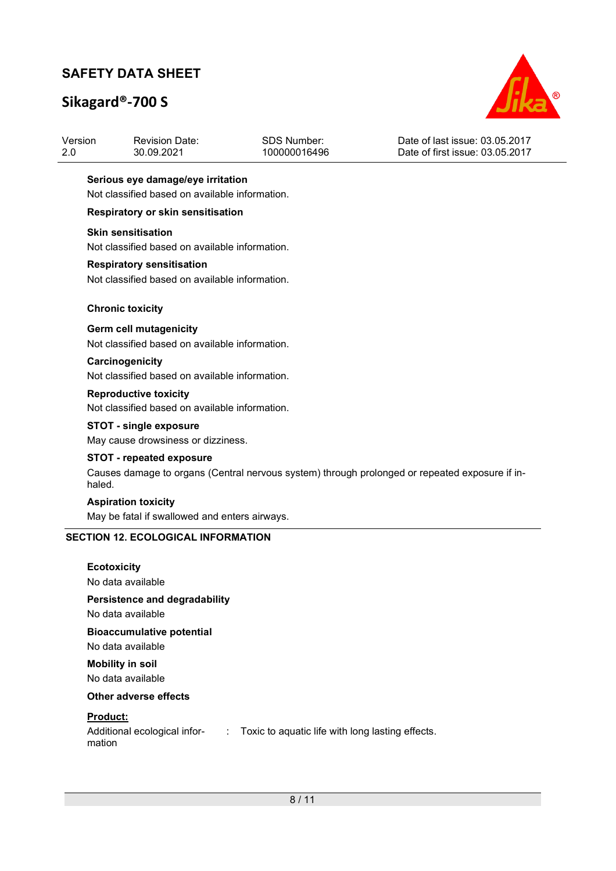# **Sikagard®-700 S**



| Version | <b>Revision Date:</b> | SDS Number:  | Date of last issue: 03.05.2017  |
|---------|-----------------------|--------------|---------------------------------|
| -2.0    | 30.09.2021            | 100000016496 | Date of first issue: 03.05.2017 |

#### **Serious eye damage/eye irritation**

Not classified based on available information.

#### **Respiratory or skin sensitisation**

#### **Skin sensitisation**

Not classified based on available information.

#### **Respiratory sensitisation**

Not classified based on available information.

#### **Chronic toxicity**

#### **Germ cell mutagenicity**

Not classified based on available information.

#### **Carcinogenicity**  Not classified based on available information.

**Reproductive toxicity**  Not classified based on available information.

#### **STOT - single exposure**

May cause drowsiness or dizziness.

#### **STOT - repeated exposure**

Causes damage to organs (Central nervous system) through prolonged or repeated exposure if inhaled.

#### **Aspiration toxicity**

May be fatal if swallowed and enters airways.

#### **SECTION 12. ECOLOGICAL INFORMATION**

#### **Ecotoxicity**

No data available

# **Persistence and degradability**

No data available

## **Bioaccumulative potential**

No data available

#### **Mobility in soil**  No data available

#### **Other adverse effects**

#### **Product:**

| Additional ecological infor- | Toxic to aquatic life with long lasting effects. |
|------------------------------|--------------------------------------------------|
| mation                       |                                                  |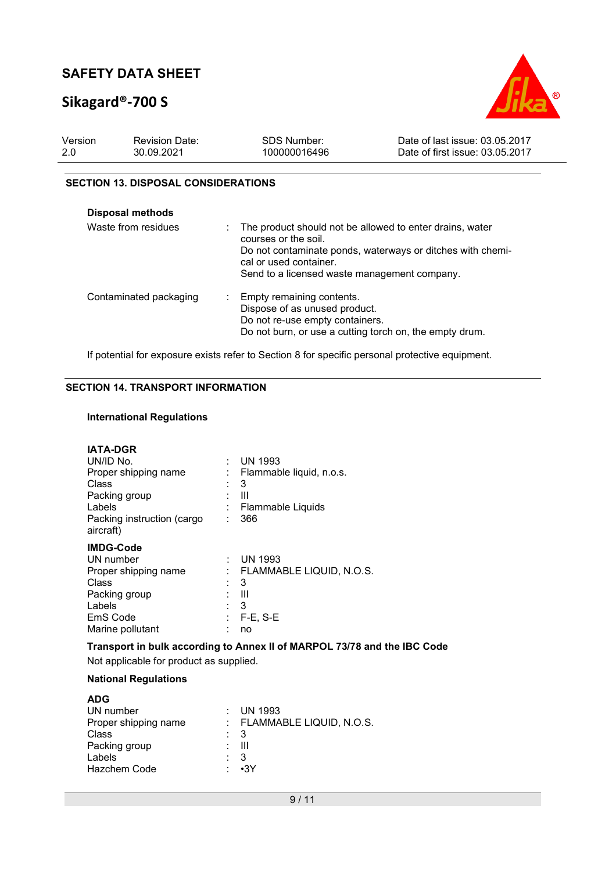# **Sikagard®-700 S**



| Version | <b>Revision Date:</b> | SDS Number:  | Date of last issue: 03.05.2017  |
|---------|-----------------------|--------------|---------------------------------|
| -2.0    | 30.09.2021            | 100000016496 | Date of first issue: 03.05.2017 |

#### **SECTION 13. DISPOSAL CONSIDERATIONS**

| Disposal methods<br>Waste from residues |                                                                                      |
|-----------------------------------------|--------------------------------------------------------------------------------------|
|                                         | The product should not be allowed to enter drains, water<br>courses or the soil.     |
|                                         | Do not contaminate ponds, waterways or ditches with chemi-<br>cal or used container. |
|                                         | Send to a licensed waste management company.                                         |
| Contaminated packaging                  | Empty remaining contents.                                                            |
|                                         | Dispose of as unused product.                                                        |
|                                         | Do not re-use empty containers.                                                      |
|                                         | Do not burn, or use a cutting torch on, the empty drum.                              |

If potential for exposure exists refer to Section 8 for specific personal protective equipment.

### **SECTION 14. TRANSPORT INFORMATION**

#### **International Regulations**

| <b>IATA-DGR</b><br>UN/ID No.<br>Proper shipping name<br>Class<br>Packing group<br>Labels<br>Packing instruction (cargo<br>aircraft) | t. | <b>UN 1993</b><br>Flammable liquid, n.o.s.<br>3<br>Ш<br>Flammable Liquids<br>366 |
|-------------------------------------------------------------------------------------------------------------------------------------|----|----------------------------------------------------------------------------------|
| <b>IMDG-Code</b><br>UN number<br>Proper shipping name<br>Class<br>Packing group<br>Labels<br>EmS Code<br>Marine pollutant           | ٠  | <b>UN 1993</b><br>FLAMMABLE LIQUID, N.O.S.<br>3<br>Ш<br>3<br>$F-E$ , S-E<br>no   |

**Transport in bulk according to Annex II of MARPOL 73/78 and the IBC Code** 

Not applicable for product as supplied.

#### **National Regulations**

| <b>ADG</b>           |                            |
|----------------------|----------------------------|
| UN number            | : UN 1993                  |
| Proper shipping name | : FLAMMABLE LIQUID, N.O.S. |
| Class                | : 3                        |
| Packing group        | - 111                      |
| Labels               | - 3                        |
| Hazchem Code         | : •3Y                      |
|                      |                            |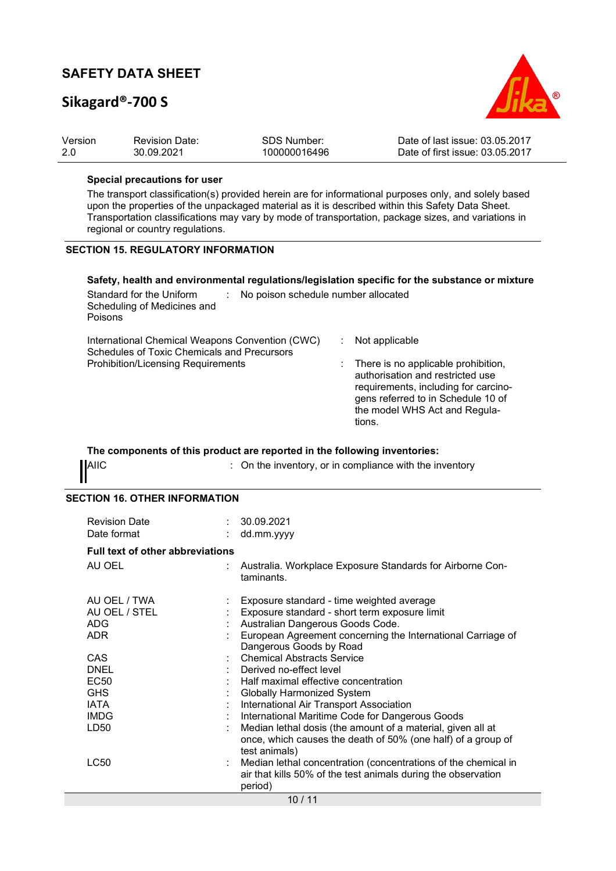# **Sikagard®-700 S**



| Version | <b>Revision Date:</b> | SDS Number:  | Date of last issue: 03.05.2017  |
|---------|-----------------------|--------------|---------------------------------|
| -2.0    | 30.09.2021            | 100000016496 | Date of first issue: 03.05.2017 |

#### **Special precautions for user**

The transport classification(s) provided herein are for informational purposes only, and solely based upon the properties of the unpackaged material as it is described within this Safety Data Sheet. Transportation classifications may vary by mode of transportation, package sizes, and variations in regional or country regulations.

#### **SECTION 15. REGULATORY INFORMATION**

#### **Safety, health and environmental regulations/legislation specific for the substance or mixture**

| Standard for the Uniform<br>Scheduling of Medicines and<br>Poisons                             | No poison schedule number allocated                                                                                                                                                                |
|------------------------------------------------------------------------------------------------|----------------------------------------------------------------------------------------------------------------------------------------------------------------------------------------------------|
| International Chemical Weapons Convention (CWC)<br>Schedules of Toxic Chemicals and Precursors | Not applicable                                                                                                                                                                                     |
| Prohibition/Licensing Requirements                                                             | : There is no applicable prohibition,<br>authorisation and restricted use<br>requirements, including for carcino-<br>gens referred to in Schedule 10 of<br>the model WHS Act and Regula-<br>tions. |

### **The components of this product are reported in the following inventories:**  AIIC **ALIC** : On the inventory, or in compliance with the inventory

| . . |
|-----|
|-----|

#### **SECTION 16. OTHER INFORMATION**

| <b>Revision Date</b><br>Date format                                            |  | 30.09.2021<br>dd.mm.yyyy                                                                                                                                                                                                                                                                                                                                                         |  |  |
|--------------------------------------------------------------------------------|--|----------------------------------------------------------------------------------------------------------------------------------------------------------------------------------------------------------------------------------------------------------------------------------------------------------------------------------------------------------------------------------|--|--|
| <b>Full text of other abbreviations</b>                                        |  |                                                                                                                                                                                                                                                                                                                                                                                  |  |  |
| AU OEL                                                                         |  | Australia. Workplace Exposure Standards for Airborne Con-<br>taminants.                                                                                                                                                                                                                                                                                                          |  |  |
| AU OEL / TWA<br>AU OEL / STEL<br><b>ADG</b><br>ADR.                            |  | Exposure standard - time weighted average<br>Exposure standard - short term exposure limit<br>Australian Dangerous Goods Code.<br>European Agreement concerning the International Carriage of<br>Dangerous Goods by Road                                                                                                                                                         |  |  |
| CAS<br><b>DNEL</b><br>EC50<br><b>GHS</b><br><b>IATA</b><br><b>IMDG</b><br>LD50 |  | <b>Chemical Abstracts Service</b><br>Derived no-effect level<br>Half maximal effective concentration<br>Globally Harmonized System<br>International Air Transport Association<br>International Maritime Code for Dangerous Goods<br>Median lethal dosis (the amount of a material, given all at<br>once, which causes the death of 50% (one half) of a group of<br>test animals) |  |  |
| LC50                                                                           |  | Median lethal concentration (concentrations of the chemical in<br>air that kills 50% of the test animals during the observation<br>period)<br>10/11                                                                                                                                                                                                                              |  |  |